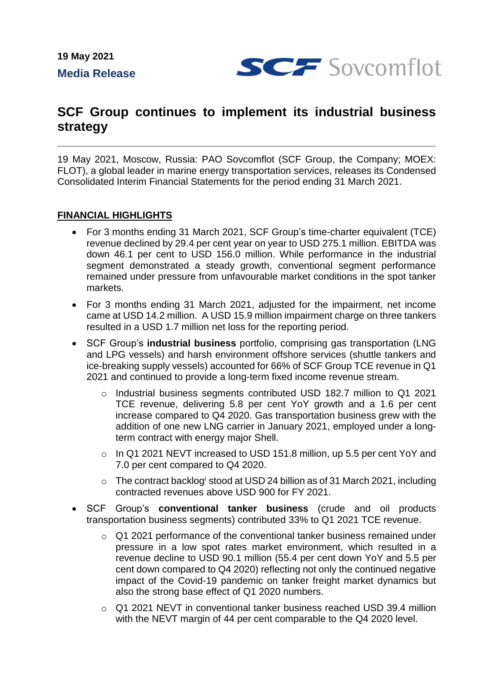**19 May 2021 Media Release**



# **SCF Group continues to implement its industrial business strategy**

19 May 2021, Moscow, Russia: PAO Sovcomflot (SCF Group, the Company; MOEX: FLOT), a global leader in marine energy transportation services, releases its Condensed Consolidated Interim Financial Statements for the period ending 31 March 2021.

### **FINANCIAL HIGHLIGHTS**

- For 3 months ending 31 March 2021, SCF Group's time-charter equivalent (TCE) revenue declined by 29.4 per cent year on year to USD 275.1 million. EBITDA was down 46.1 per cent to USD 156.0 million. While performance in the industrial segment demonstrated a steady growth, conventional segment performance remained under pressure from unfavourable market conditions in the spot tanker markets.
- For 3 months ending 31 March 2021, adjusted for the impairment, net income came at USD 14.2 million. A USD 15.9 million impairment charge on three tankers resulted in a USD 1.7 million net loss for the reporting period.
- SCF Group's **industrial business** portfolio, comprising gas transportation (LNG and LPG vessels) and harsh environment offshore services (shuttle tankers and ice-breaking supply vessels) accounted for 66% of SCF Group TCE revenue in Q1 2021 and continued to provide a long-term fixed income revenue stream.
	- o Industrial business segments contributed USD 182.7 million to Q1 2021 TCE revenue, delivering 5.8 per cent YoY growth and a 1.6 per cent increase compared to Q4 2020. Gas transportation business grew with the addition of one new LNG carrier in January 2021, employed under a longterm contract with energy major Shell.
	- o In Q1 2021 NEVT increased to USD 151.8 million, up 5.5 per cent YoY and 7.0 per cent compared to Q4 2020.
	- $\circ$  The contract backlog stood at USD 24 billion as of 31 March 2021, including contracted revenues above USD 900 for FY 2021.
- SCF Group's **conventional tanker business** (crude and oil products transportation business segments) contributed 33% to Q1 2021 TCE revenue.
	- o Q1 2021 performance of the conventional tanker business remained under pressure in a low spot rates market environment, which resulted in a revenue decline to USD 90.1 million (55.4 per cent down YoY and 5.5 per cent down compared to Q4 2020) reflecting not only the continued negative impact of the Covid-19 pandemic on tanker freight market dynamics but also the strong base effect of Q1 2020 numbers.
	- o Q1 2021 NEVT in conventional tanker business reached USD 39.4 million with the NEVT margin of 44 per cent comparable to the Q4 2020 level.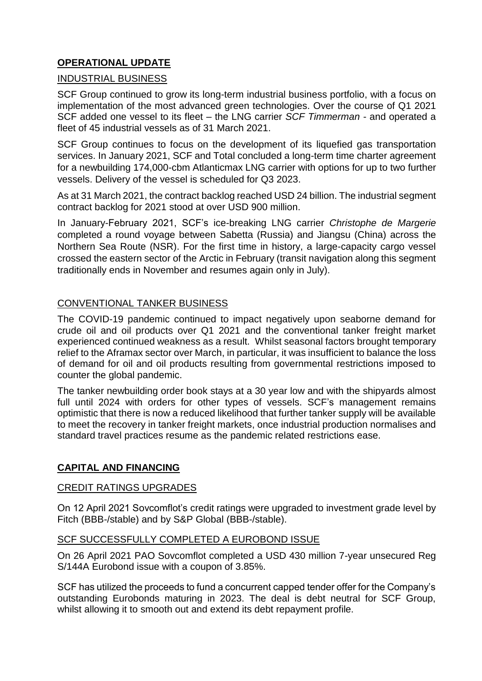# **OPERATIONAL UPDATE**

### INDUSTRIAL BUSINESS

SCF Group continued to grow its long-term industrial business portfolio, with a focus on implementation of the most advanced green technologies. Over the course of Q1 2021 SCF added one vessel to its fleet – the LNG carrier *SCF Timmerman* - and operated a fleet of 45 industrial vessels as of 31 March 2021.

SCF Group continues to focus on the development of its liquefied gas transportation services. In January 2021, SCF and Total concluded a long-term time charter agreement for a newbuilding 174,000-cbm Atlanticmax LNG carrier with options for up to two further vessels. Delivery of the vessel is scheduled for Q3 2023.

As at 31 March 2021, the contract backlog reached USD 24 billion. The industrial segment contract backlog for 2021 stood at over USD 900 million.

In January-February 2021, SCF's ice-breaking LNG carrier *Christophe de Margerie* completed a round voyage between Sabetta (Russia) and Jiangsu (China) across the Northern Sea Route (NSR). For the first time in history, a large-capacity cargo vessel crossed the eastern sector of the Arctic in February (transit navigation along this segment traditionally ends in November and resumes again only in July).

## CONVENTIONAL TANKER BUSINESS

The COVID-19 pandemic continued to impact negatively upon seaborne demand for crude oil and oil products over Q1 2021 and the conventional tanker freight market experienced continued weakness as a result. Whilst seasonal factors brought temporary relief to the Aframax sector over March, in particular, it was insufficient to balance the loss of demand for oil and oil products resulting from governmental restrictions imposed to counter the global pandemic.

The tanker newbuilding order book stays at a 30 year low and with the shipyards almost full until 2024 with orders for other types of vessels. SCF's management remains optimistic that there is now a reduced likelihood that further tanker supply will be available to meet the recovery in tanker freight markets, once industrial production normalises and standard travel practices resume as the pandemic related restrictions ease.

#### **CAPITAL AND FINANCING**

#### CREDIT RATINGS UPGRADES

On 12 April 2021 Sovcomflot's credit ratings were upgraded to investment grade level by Fitch (BBB-/stable) and by S&P Global (BBB-/stable).

#### SCF SUCCESSFULLY COMPLETED A EUROBOND ISSUE

On 26 April 2021 PAO Sovcomflot completed a USD 430 million 7-year unsecured Reg S/144A Eurobond issue with a coupon of 3.85%.

SCF has utilized the proceeds to fund a concurrent capped tender offer for the Company's outstanding Eurobonds maturing in 2023. The deal is debt neutral for SCF Group, whilst allowing it to smooth out and extend its debt repayment profile.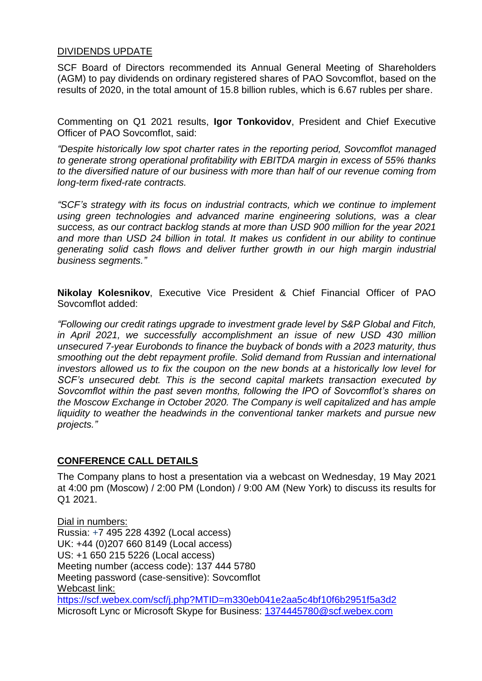#### DIVIDENDS UPDATE

SCF Board of Directors recommended its Annual General Meeting of Shareholders (AGM) to pay dividends on ordinary registered shares of PAO Sovcomflot, based on the results of 2020, in the total amount of 15.8 billion rubles, which is 6.67 rubles per share.

Commenting on Q1 2021 results, **Igor Tonkovidov**, President and Chief Executive Officer of PAO Sovcomflot, said:

*"Despite historically low spot charter rates in the reporting period, Sovcomflot managed to generate strong operational profitability with EBITDA margin in excess of 55% thanks to the diversified nature of our business with more than half of our revenue coming from long-term fixed-rate contracts.* 

*"SCF's strategy with its focus on industrial contracts, which we continue to implement using green technologies and advanced marine engineering solutions, was a clear success, as our contract backlog stands at more than USD 900 million for the year 2021 and more than USD 24 billion in total. It makes us confident in our ability to continue generating solid cash flows and deliver further growth in our high margin industrial business segments."*

**Nikolay Kolesnikov**, Executive Vice President & Chief Financial Officer of PAO Sovcomflot added:

*"Following our credit ratings upgrade to investment grade level by S&P Global and Fitch, in April 2021, we successfully accomplishment an issue of new USD 430 million unsecured 7-year Eurobonds to finance the buyback of bonds with a 2023 maturity, thus smoothing out the debt repayment profile. Solid demand from Russian and international investors allowed us to fix the coupon on the new bonds at a historically low level for SCF's unsecured debt. This is the second capital markets transaction executed by Sovcomflot within the past seven months, following the IPO of Sovcomflot's shares on the Moscow Exchange in October 2020. The Company is well capitalized and has ample liquidity to weather the headwinds in the conventional tanker markets and pursue new projects."*

#### **CONFERENCE CALL DETAILS**

The Company plans to host a presentation via a webcast on Wednesday, 19 May 2021 at 4:00 pm (Moscow) / 2:00 PM (London) / 9:00 AM (New York) to discuss its results for Q1 2021.

Dial in numbers: Russia: +7 495 228 4392 (Local access) UK: +44 (0)207 660 8149 (Local access) US: +1 650 215 5226 (Local access) Meeting number (access code): 137 444 5780 Meeting password (case-sensitive): Sovcomflot Webcast link: https://scf.webex.com/scf/j.php?MTID=m330eb041e2aa5c4bf10f6b2951f5a3d2 Microsoft Lync or Microsoft Skype for Business: 1374445780@scf.webex.com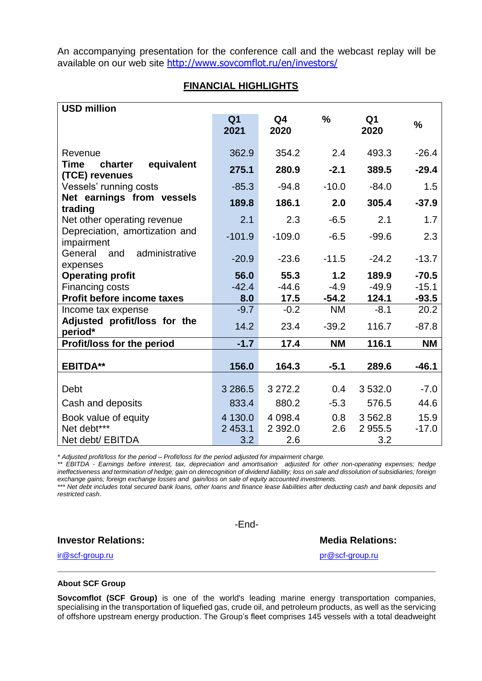An accompanying presentation for the conference call and the webcast replay will be available on our web site <http://www.sovcomflot.ru/en/investors/>

#### **FINANCIAL HIGHLIGHTS**

| <b>USD million</b>                              |                        |            |               |            |               |
|-------------------------------------------------|------------------------|------------|---------------|------------|---------------|
|                                                 | Q <sub>1</sub><br>2021 | Q4<br>2020 | $\frac{0}{0}$ | Q1<br>2020 | $\frac{0}{0}$ |
| Revenue                                         | 362.9                  | 354.2      | 2.4           | 493.3      | $-26.4$       |
| Time<br>equivalent<br>charter<br>(TCE) revenues | 275.1                  | 280.9      | $-2.1$        | 389.5      | $-29.4$       |
| Vessels' running costs                          | $-85.3$                | $-94.8$    | $-10.0$       | $-84.0$    | 1.5           |
| Net earnings from vessels<br>trading            | 189.8                  | 186.1      | 2.0           | 305.4      | $-37.9$       |
| Net other operating revenue                     | 2.1                    | 2.3        | $-6.5$        | 2.1        | 1.7           |
| Depreciation, amortization and<br>impairment    | $-101.9$               | $-109.0$   | $-6.5$        | $-99.6$    | 2.3           |
| General<br>administrative<br>and<br>expenses    | $-20.9$                | $-23.6$    | $-11.5$       | $-24.2$    | $-13.7$       |
| <b>Operating profit</b>                         | 56.0                   | 55.3       | 1.2           | 189.9      | $-70.5$       |
| Financing costs                                 | $-42.4$                | $-44.6$    | $-4.9$        | $-49.9$    | $-15.1$       |
| <b>Profit before income taxes</b>               | 8.0                    | 17.5       | $-54.2$       | 124.1      | $-93.5$       |
| Income tax expense                              | $-9.7$                 | $-0.2$     | <b>NM</b>     | $-8.1$     | 20.2          |
| Adjusted profit/loss for the<br>period*         | 14.2                   | 23.4       | $-39.2$       | 116.7      | $-87.8$       |
| Profit/loss for the period                      | $-1.7$                 | 17.4       | <b>NM</b>     | 116.1      | <b>NM</b>     |
| <b>EBITDA**</b>                                 | 156.0                  | 164.3      | $-5.1$        | 289.6      | $-46.1$       |
| Debt                                            | 3 2 8 6.5              | 3 272.2    | 0.4           | 3 5 3 2.0  | $-7.0$        |
| Cash and deposits                               | 833.4                  | 880.2      | $-5.3$        | 576.5      | 44.6          |
| Book value of equity                            | 4 130.0                | 4 0 98.4   | 0.8           | 3 5 6 2.8  | 15.9          |
| Net debt***                                     | 2 453.1                | 2 3 9 2.0  | 2.6           | 2 9 5 5.5  | $-17.0$       |
| Net debt/ EBITDA                                | 3.2                    | 2.6        |               | 3.2        |               |

*\* Adjusted profit/loss for the period – Profit/loss for the period adjusted for impairment charge.*

*\*\* EBITDA - Earnings before interest, tax, depreciation and amortisation adjusted for other non-operating expenses; hedge ineffectiveness and termination of hedge; gain on derecognition of dividend liability; loss on sale and dissolution of subsidiaries; foreign exchange gains; foreign exchange losses and gain/loss on sale of equity accounted investments.*

*\*\*\* Net debt includes total secured bank loans, other loans and finance lease liabilities after deducting cash and bank deposits and restricted cash.*

**Investor Relations: Media Relations: Media Relations:** 

-End-

[ir@scf-group.ru](mailto:ir@scf-group.ru) [pr@scf-group.ru](mailto:pr@scf-group.ru)

#### **About SCF Group**

**Sovcomflot (SCF Group)** is one of the world's leading marine energy transportation companies, specialising in the transportation of liquefied gas, crude oil, and petroleum products, as well as the servicing of offshore upstream energy production. The Group's fleet comprises 145 vessels with a total deadweight